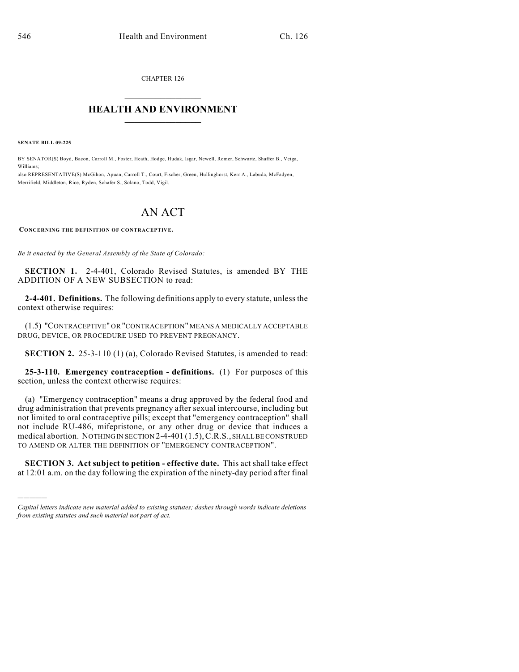CHAPTER 126

## $\overline{\phantom{a}}$  . The set of the set of the set of the set of the set of the set of the set of the set of the set of the set of the set of the set of the set of the set of the set of the set of the set of the set of the set o **HEALTH AND ENVIRONMENT**  $\_$

**SENATE BILL 09-225**

)))))

BY SENATOR(S) Boyd, Bacon, Carroll M., Foster, Heath, Hodge, Hudak, Isgar, Newell, Romer, Schwartz, Shaffer B., Veiga, Williams;

also REPRESENTATIVE(S) McGihon, Apuan, Carroll T., Court, Fischer, Green, Hullinghorst, Kerr A., Labuda, McFadyen, Merrifield, Middleton, Rice, Ryden, Schafer S., Solano, Todd, Vigil.

## AN ACT

**CONCERNING THE DEFINITION OF CONTRACEPTIVE.**

*Be it enacted by the General Assembly of the State of Colorado:*

**SECTION 1.** 2-4-401, Colorado Revised Statutes, is amended BY THE ADDITION OF A NEW SUBSECTION to read:

**2-4-401. Definitions.** The following definitions apply to every statute, unless the context otherwise requires:

(1.5) "CONTRACEPTIVE" OR "CONTRACEPTION" MEANS A MEDICALLY ACCEPTABLE DRUG, DEVICE, OR PROCEDURE USED TO PREVENT PREGNANCY.

**SECTION 2.** 25-3-110 (1) (a), Colorado Revised Statutes, is amended to read:

**25-3-110. Emergency contraception - definitions.** (1) For purposes of this section, unless the context otherwise requires:

(a) "Emergency contraception" means a drug approved by the federal food and drug administration that prevents pregnancy after sexual intercourse, including but not limited to oral contraceptive pills; except that "emergency contraception" shall not include RU-486, mifepristone, or any other drug or device that induces a medical abortion. NOTHING IN SECTION 2-4-401 (1.5),C.R.S., SHALL BE CONSTRUED TO AMEND OR ALTER THE DEFINITION OF "EMERGENCY CONTRACEPTION".

**SECTION 3. Act subject to petition - effective date.** This act shall take effect at 12:01 a.m. on the day following the expiration of the ninety-day period after final

*Capital letters indicate new material added to existing statutes; dashes through words indicate deletions from existing statutes and such material not part of act.*